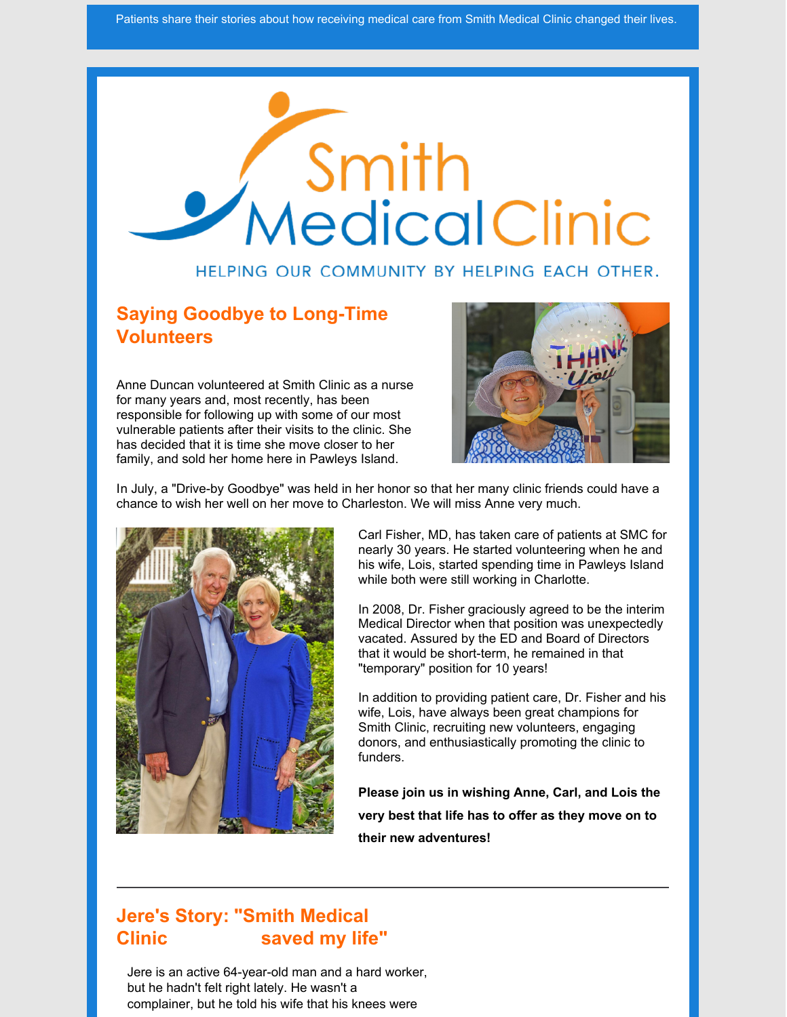

#### HELPING OUR COMMUNITY BY HELPING EACH OTHER.

#### **Saying Goodbye to Long-Time Volunteers**

Anne Duncan volunteered at Smith Clinic as a nurse for many years and, most recently, has been responsible for following up with some of our most vulnerable patients after their visits to the clinic. She has decided that it is time she move closer to her family, and sold her home here in Pawleys Island.



In July, a "Drive-by Goodbye" was held in her honor so that her many clinic friends could have a chance to wish her well on her move to Charleston. We will miss Anne very much.



Carl Fisher, MD, has taken care of patients at SMC for nearly 30 years. He started volunteering when he and his wife, Lois, started spending time in Pawleys Island while both were still working in Charlotte.

In 2008, Dr. Fisher graciously agreed to be the interim Medical Director when that position was unexpectedly vacated. Assured by the ED and Board of Directors that it would be short-term, he remained in that "temporary" position for 10 years!

In addition to providing patient care, Dr. Fisher and his wife, Lois, have always been great champions for Smith Clinic, recruiting new volunteers, engaging donors, and enthusiastically promoting the clinic to funders.

**Please join us in wishing Anne, Carl, and Lois the very best that life has to offer as they move on to their new adventures!**

### **Jere's Story: "Smith Medical Clinic saved my life"**

Jere is an active 64-year-old man and a hard worker, but he hadn't felt right lately. He wasn't a complainer, but he told his wife that his knees were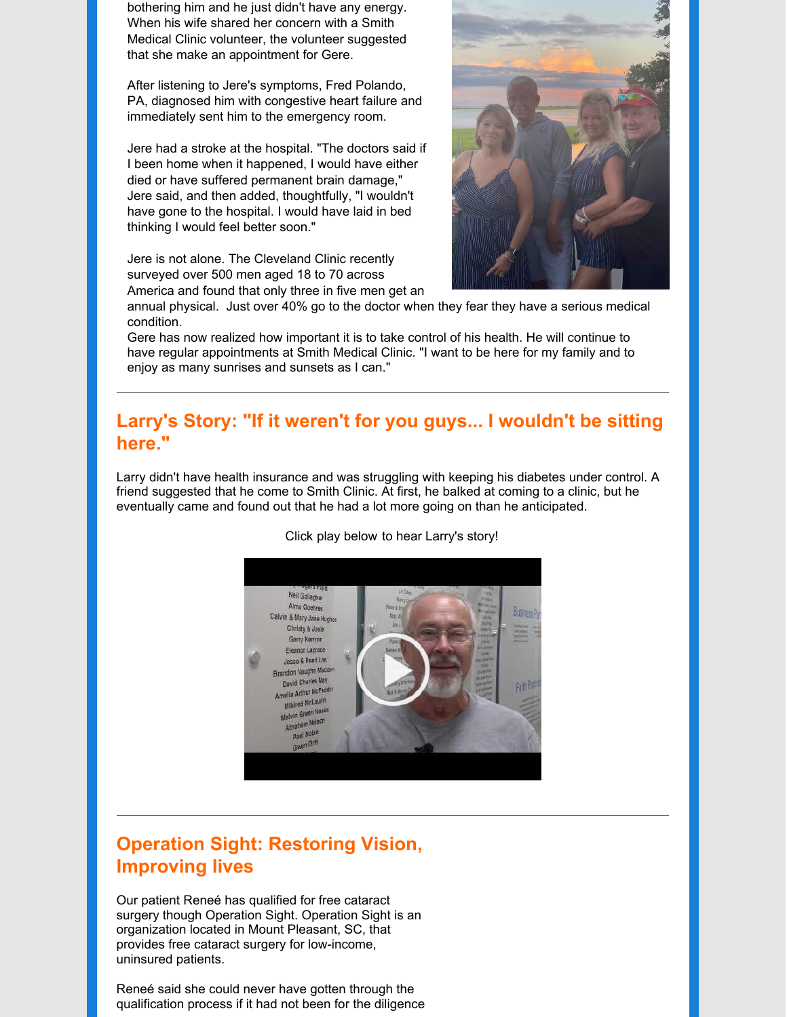bothering him and he just didn't have any energy. When his wife shared her concern with a Smith Medical Clinic volunteer, the volunteer suggested that she make an appointment for Gere.

After listening to Jere's symptoms, Fred Polando, PA, diagnosed him with congestive heart failure and immediately sent him to the emergency room.

Jere had a stroke at the hospital. "The doctors said if I been home when it happened, I would have either died or have suffered permanent brain damage," Jere said, and then added, thoughtfully, "I wouldn't have gone to the hospital. I would have laid in bed thinking I would feel better soon."

Jere is not alone. The Cleveland Clinic recently surveyed over 500 men aged 18 to 70 across America and found that only three in five men get an



annual physical. Just over 40% go to the doctor when they fear they have a serious medical condition.

Gere has now realized how important it is to take control of his health. He will continue to have regular appointments at Smith Medical Clinic. "I want to be here for my family and to enjoy as many sunrises and sunsets as I can."

#### **Larry's Story: "If it weren't for you guys... I wouldn't be sitting here."**

Larry didn't have health insurance and was struggling with keeping his diabetes under control. A friend suggested that he come to Smith Clinic. At first, he balked at coming to a clinic, but he eventually came and found out that he had a lot more going on than he anticipated.



[Click](http://www.smithfreeclinic.org/) play below to hear Larry's story!

## **Operation Sight: Restoring Vision, Improving lives**

Our patient Reneé has qualified for free cataract surgery though Operation Sight. Operation Sight is an organization located in Mount Pleasant, SC, that provides free cataract surgery for low-income, uninsured patients.

Reneé said she could never have gotten through the qualification process if it had not been for the diligence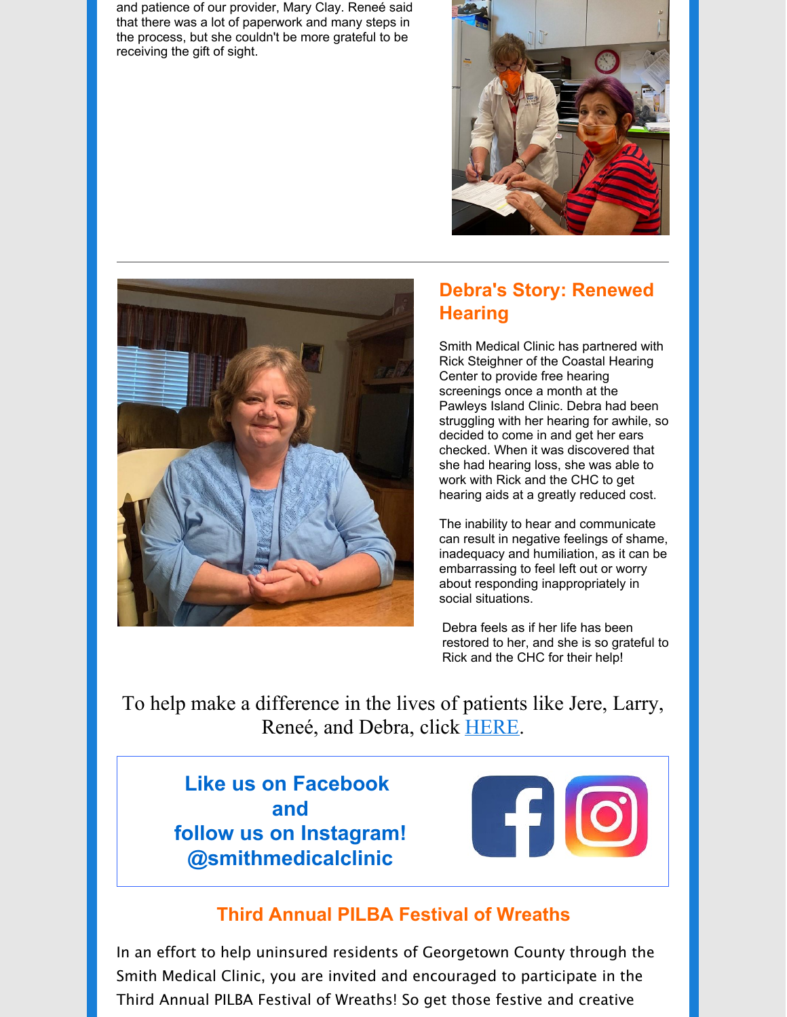and patience of our provider, Mary Clay. Reneé said that there was a lot of paperwork and many steps in the process, but she couldn't be more grateful to be receiving the gift of sight.





# **Debra's Story: Renewed Hearing**

Smith Medical Clinic has partnered with Rick Steighner of the Coastal Hearing Center to provide free hearing screenings once a month at the Pawleys Island Clinic. Debra had been struggling with her hearing for awhile, so decided to come in and get her ears checked. When it was discovered that she had hearing loss, she was able to work with Rick and the CHC to get hearing aids at a greatly reduced cost.

The inability to hear and communicate can result in negative feelings of shame, inadequacy and humiliation, as it can be embarrassing to feel left out or worry about responding inappropriately in social situations.

Debra feels as if her life has been restored to her, and she is so grateful to Rick and the CHC for their help!

To help make a difference in the lives of patients like Jere, Larry, Reneé, and Debra, click [HERE](https://smithfreeclinic.org/donate).

# **Like us on Facebook and follow us on Instagram! @smithmedicalclinic**



## **Third Annual PILBA Festival of Wreaths**

In an effort to help uninsured residents of Georgetown County through the Smith Medical Clinic, you are invited and encouraged to participate in the Third Annual PILBA Festival of Wreaths! So get those festive and creative